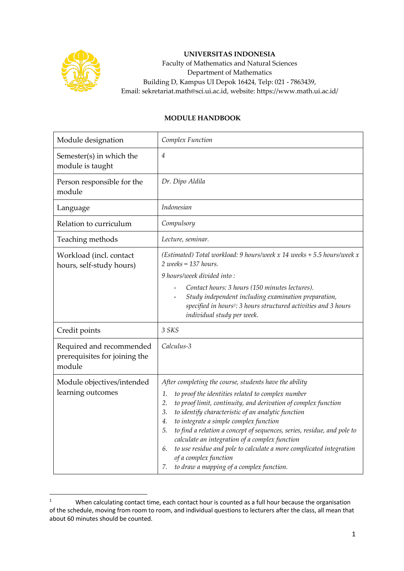

## **UNIVERSITAS INDONESIA**

Faculty of Mathematics and Natural Sciences Department of Mathematics Building D, Kampus UI Depok 16424, Telp: 021 - 7863439, Email: sekretariat.math@sci.ui.ac.id, website: https://www.math.ui.ac.id/

## **MODULE HANDBOOK**

| Module designation                                                  | Complex Function                                                                                                                                                                                                                                                                                                                                                                                                                                                                                                                                                                                 |
|---------------------------------------------------------------------|--------------------------------------------------------------------------------------------------------------------------------------------------------------------------------------------------------------------------------------------------------------------------------------------------------------------------------------------------------------------------------------------------------------------------------------------------------------------------------------------------------------------------------------------------------------------------------------------------|
| Semester(s) in which the<br>module is taught                        | $\overline{4}$                                                                                                                                                                                                                                                                                                                                                                                                                                                                                                                                                                                   |
| Person responsible for the<br>module                                | Dr. Dipo Aldila                                                                                                                                                                                                                                                                                                                                                                                                                                                                                                                                                                                  |
| Language                                                            | Indonesian                                                                                                                                                                                                                                                                                                                                                                                                                                                                                                                                                                                       |
| Relation to curriculum                                              | Compulsory                                                                                                                                                                                                                                                                                                                                                                                                                                                                                                                                                                                       |
| Teaching methods                                                    | Lecture, seminar.                                                                                                                                                                                                                                                                                                                                                                                                                                                                                                                                                                                |
| Workload (incl. contact<br>hours, self-study hours)                 | (Estimated) Total workload: 9 hours/week x 14 weeks + 5.5 hours/week x<br>$2$ weeks = 137 hours.                                                                                                                                                                                                                                                                                                                                                                                                                                                                                                 |
|                                                                     | 9 hours/week divided into:                                                                                                                                                                                                                                                                                                                                                                                                                                                                                                                                                                       |
|                                                                     | Contact hours: 3 hours (150 minutes lectures).<br>Study independent including examination preparation,<br>specified in hours <sup>1</sup> : 3 hours structured activities and 3 hours<br>individual study per week.                                                                                                                                                                                                                                                                                                                                                                              |
| Credit points                                                       | 3 SKS                                                                                                                                                                                                                                                                                                                                                                                                                                                                                                                                                                                            |
| Required and recommended<br>prerequisites for joining the<br>module | Calculus-3                                                                                                                                                                                                                                                                                                                                                                                                                                                                                                                                                                                       |
| Module objectives/intended<br>learning outcomes                     | After completing the course, students have the ability<br>to proof the identities related to complex number<br>1.<br>to proof limit, continuity, and derivation of complex function<br>2.<br>to identify characteristic of an analytic function<br>3.<br>to integrate a simple complex function<br>4.<br>to find a relation a concept of sequences, series, residue, and pole to<br>5.<br>calculate an integration of a complex function<br>to use residue and pole to calculate a more complicated integration<br>6.<br>of a complex function<br>to draw a mapping of a complex function.<br>7. |

<sup>1</sup> When calculating contact time, each contact hour is counted as a full hour because the organisation of the schedule, moving from room to room, and individual questions to lecturers after the class, all mean that about 60 minutes should be counted.